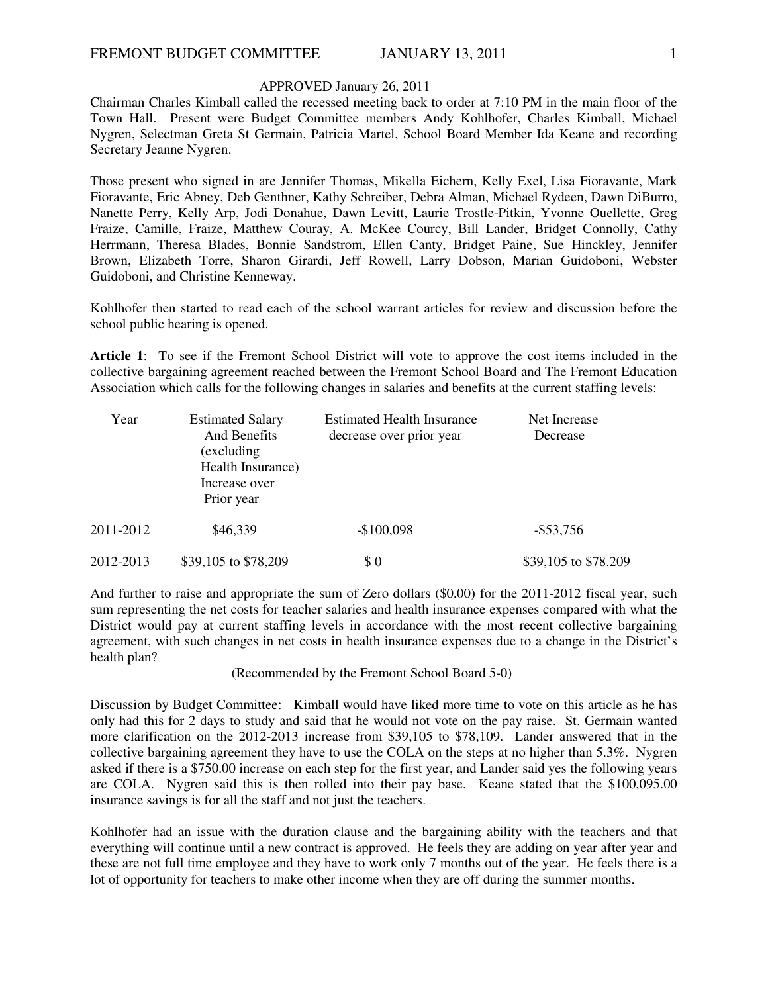## APPROVED January 26, 2011

Chairman Charles Kimball called the recessed meeting back to order at 7:10 PM in the main floor of the Town Hall. Present were Budget Committee members Andy Kohlhofer, Charles Kimball, Michael Nygren, Selectman Greta St Germain, Patricia Martel, School Board Member Ida Keane and recording Secretary Jeanne Nygren.

Those present who signed in are Jennifer Thomas, Mikella Eichern, Kelly Exel, Lisa Fioravante, Mark Fioravante, Eric Abney, Deb Genthner, Kathy Schreiber, Debra Alman, Michael Rydeen, Dawn DiBurro, Nanette Perry, Kelly Arp, Jodi Donahue, Dawn Levitt, Laurie Trostle-Pitkin, Yvonne Ouellette, Greg Fraize, Camille, Fraize, Matthew Couray, A. McKee Courcy, Bill Lander, Bridget Connolly, Cathy Herrmann, Theresa Blades, Bonnie Sandstrom, Ellen Canty, Bridget Paine, Sue Hinckley, Jennifer Brown, Elizabeth Torre, Sharon Girardi, Jeff Rowell, Larry Dobson, Marian Guidoboni, Webster Guidoboni, and Christine Kenneway.

Kohlhofer then started to read each of the school warrant articles for review and discussion before the school public hearing is opened.

**Article 1**: To see if the Fremont School District will vote to approve the cost items included in the collective bargaining agreement reached between the Fremont School Board and The Fremont Education Association which calls for the following changes in salaries and benefits at the current staffing levels:

| Year      | <b>Estimated Salary</b><br>And Benefits<br>(excluding)<br>Health Insurance)<br>Increase over<br>Prior year | <b>Estimated Health Insurance</b><br>decrease over prior year | Net Increase<br>Decrease |
|-----------|------------------------------------------------------------------------------------------------------------|---------------------------------------------------------------|--------------------------|
| 2011-2012 | \$46,339                                                                                                   | $-$100,098$                                                   | $-$ \$53,756             |
| 2012-2013 | \$39,105 to \$78,209                                                                                       | $\$0$                                                         | \$39,105 to \$78.209     |

And further to raise and appropriate the sum of Zero dollars (\$0.00) for the 2011-2012 fiscal year, such sum representing the net costs for teacher salaries and health insurance expenses compared with what the District would pay at current staffing levels in accordance with the most recent collective bargaining agreement, with such changes in net costs in health insurance expenses due to a change in the District's health plan?

(Recommended by the Fremont School Board 5-0)

Discussion by Budget Committee: Kimball would have liked more time to vote on this article as he has only had this for 2 days to study and said that he would not vote on the pay raise. St. Germain wanted more clarification on the 2012-2013 increase from \$39,105 to \$78,109. Lander answered that in the collective bargaining agreement they have to use the COLA on the steps at no higher than 5.3%. Nygren asked if there is a \$750.00 increase on each step for the first year, and Lander said yes the following years are COLA. Nygren said this is then rolled into their pay base. Keane stated that the \$100,095.00 insurance savings is for all the staff and not just the teachers.

Kohlhofer had an issue with the duration clause and the bargaining ability with the teachers and that everything will continue until a new contract is approved. He feels they are adding on year after year and these are not full time employee and they have to work only 7 months out of the year. He feels there is a lot of opportunity for teachers to make other income when they are off during the summer months.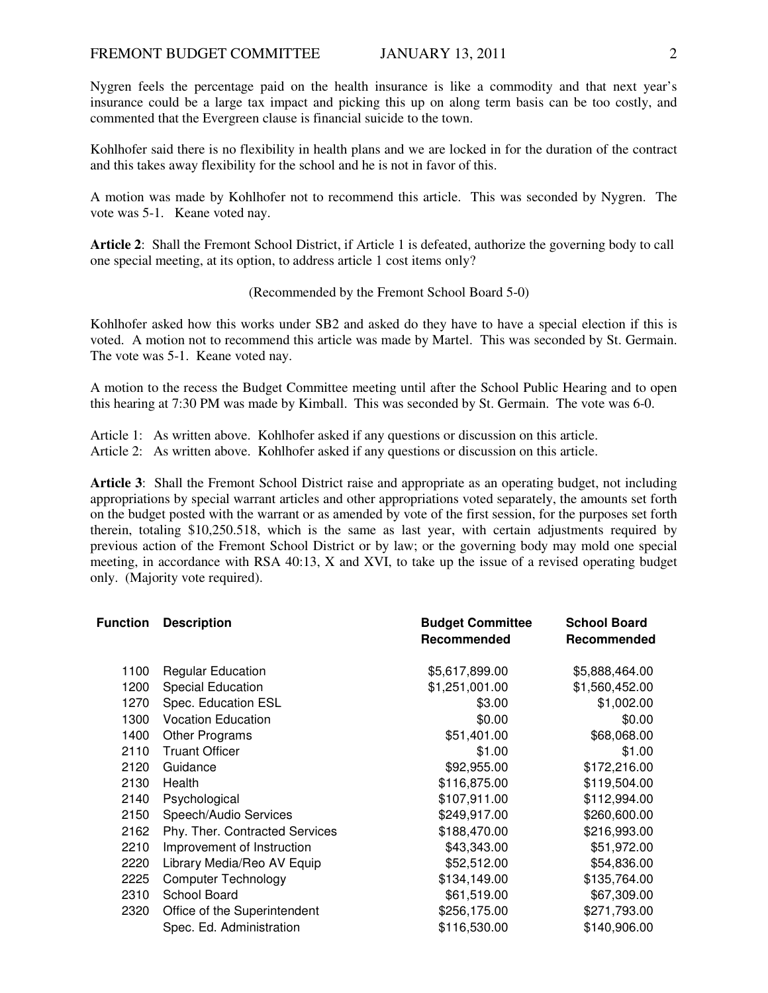Nygren feels the percentage paid on the health insurance is like a commodity and that next year's insurance could be a large tax impact and picking this up on along term basis can be too costly, and commented that the Evergreen clause is financial suicide to the town.

Kohlhofer said there is no flexibility in health plans and we are locked in for the duration of the contract and this takes away flexibility for the school and he is not in favor of this.

A motion was made by Kohlhofer not to recommend this article. This was seconded by Nygren. The vote was 5-1. Keane voted nay.

**Article 2**: Shall the Fremont School District, if Article 1 is defeated, authorize the governing body to call one special meeting, at its option, to address article 1 cost items only?

## (Recommended by the Fremont School Board 5-0)

Kohlhofer asked how this works under SB2 and asked do they have to have a special election if this is voted. A motion not to recommend this article was made by Martel. This was seconded by St. Germain. The vote was 5-1. Keane voted nay.

A motion to the recess the Budget Committee meeting until after the School Public Hearing and to open this hearing at 7:30 PM was made by Kimball. This was seconded by St. Germain. The vote was 6-0.

Article 1: As written above. Kohlhofer asked if any questions or discussion on this article.

Article 2: As written above. Kohlhofer asked if any questions or discussion on this article.

**Article 3**: Shall the Fremont School District raise and appropriate as an operating budget, not including appropriations by special warrant articles and other appropriations voted separately, the amounts set forth on the budget posted with the warrant or as amended by vote of the first session, for the purposes set forth therein, totaling \$10,250.518, which is the same as last year, with certain adjustments required by previous action of the Fremont School District or by law; or the governing body may mold one special meeting, in accordance with RSA 40:13, X and XVI, to take up the issue of a revised operating budget only. (Majority vote required).

| <b>Function</b> | <b>Description</b>             | <b>Budget Committee</b><br>Recommended | <b>School Board</b><br>Recommended |
|-----------------|--------------------------------|----------------------------------------|------------------------------------|
| 1100            | <b>Regular Education</b>       | \$5,617,899.00                         | \$5,888,464.00                     |
| 1200            | Special Education              | \$1,251,001.00                         | \$1,560,452.00                     |
| 1270            | Spec. Education ESL            | \$3.00                                 | \$1,002.00                         |
| 1300            | <b>Vocation Education</b>      | \$0.00                                 | \$0.00                             |
| 1400            | Other Programs                 | \$51,401.00                            | \$68,068.00                        |
| 2110            | <b>Truant Officer</b>          | \$1.00                                 | \$1.00                             |
| 2120            | Guidance                       | \$92,955.00                            | \$172,216.00                       |
| 2130            | Health                         | \$116,875.00                           | \$119,504.00                       |
| 2140            | Psychological                  | \$107,911.00                           | \$112,994.00                       |
| 2150            | Speech/Audio Services          | \$249,917.00                           | \$260,600.00                       |
| 2162            | Phy. Ther. Contracted Services | \$188,470.00                           | \$216,993.00                       |
| 2210            | Improvement of Instruction     | \$43,343.00                            | \$51,972.00                        |
| 2220            | Library Media/Reo AV Equip     | \$52,512.00                            | \$54,836.00                        |
| 2225            | <b>Computer Technology</b>     | \$134,149.00                           | \$135,764.00                       |
| 2310            | School Board                   | \$61,519.00                            | \$67,309.00                        |
| 2320            | Office of the Superintendent   | \$256,175.00                           | \$271,793.00                       |
|                 | Spec. Ed. Administration       | \$116,530.00                           | \$140,906.00                       |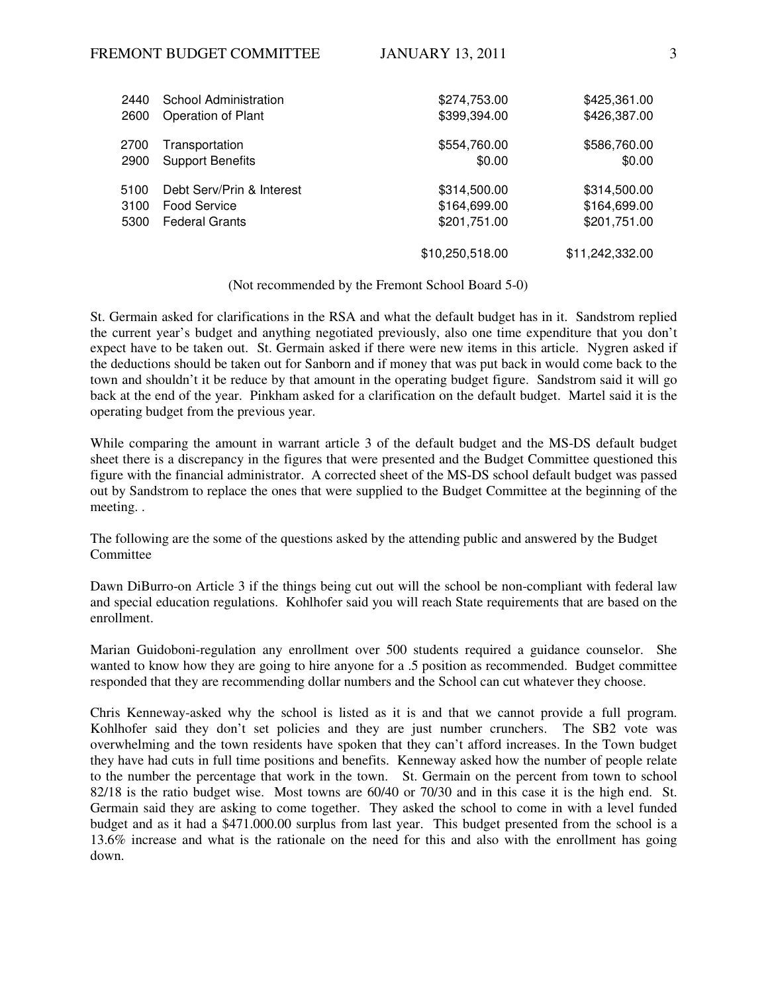| 2440 | School Administration     | \$274,753.00    | \$425,361.00    |
|------|---------------------------|-----------------|-----------------|
| 2600 | Operation of Plant        | \$399,394.00    | \$426,387.00    |
| 2700 | Transportation            | \$554,760.00    | \$586,760.00    |
| 2900 | <b>Support Benefits</b>   | \$0.00          | \$0.00          |
| 5100 | Debt Serv/Prin & Interest | \$314,500.00    | \$314,500.00    |
| 3100 | Food Service              | \$164,699.00    | \$164,699.00    |
| 5300 | <b>Federal Grants</b>     | \$201,751.00    | \$201,751.00    |
|      |                           | \$10,250,518.00 | \$11,242,332.00 |

(Not recommended by the Fremont School Board 5-0)

St. Germain asked for clarifications in the RSA and what the default budget has in it. Sandstrom replied the current year's budget and anything negotiated previously, also one time expenditure that you don't expect have to be taken out. St. Germain asked if there were new items in this article. Nygren asked if the deductions should be taken out for Sanborn and if money that was put back in would come back to the town and shouldn't it be reduce by that amount in the operating budget figure. Sandstrom said it will go back at the end of the year. Pinkham asked for a clarification on the default budget. Martel said it is the operating budget from the previous year.

While comparing the amount in warrant article 3 of the default budget and the MS-DS default budget sheet there is a discrepancy in the figures that were presented and the Budget Committee questioned this figure with the financial administrator. A corrected sheet of the MS-DS school default budget was passed out by Sandstrom to replace the ones that were supplied to the Budget Committee at the beginning of the meeting. .

The following are the some of the questions asked by the attending public and answered by the Budget **Committee** 

Dawn DiBurro-on Article 3 if the things being cut out will the school be non-compliant with federal law and special education regulations. Kohlhofer said you will reach State requirements that are based on the enrollment.

Marian Guidoboni-regulation any enrollment over 500 students required a guidance counselor. She wanted to know how they are going to hire anyone for a .5 position as recommended. Budget committee responded that they are recommending dollar numbers and the School can cut whatever they choose.

Chris Kenneway-asked why the school is listed as it is and that we cannot provide a full program. Kohlhofer said they don't set policies and they are just number crunchers. The SB2 vote was overwhelming and the town residents have spoken that they can't afford increases. In the Town budget they have had cuts in full time positions and benefits. Kenneway asked how the number of people relate to the number the percentage that work in the town. St. Germain on the percent from town to school 82/18 is the ratio budget wise. Most towns are 60/40 or 70/30 and in this case it is the high end. St. Germain said they are asking to come together. They asked the school to come in with a level funded budget and as it had a \$471.000.00 surplus from last year. This budget presented from the school is a 13.6% increase and what is the rationale on the need for this and also with the enrollment has going down.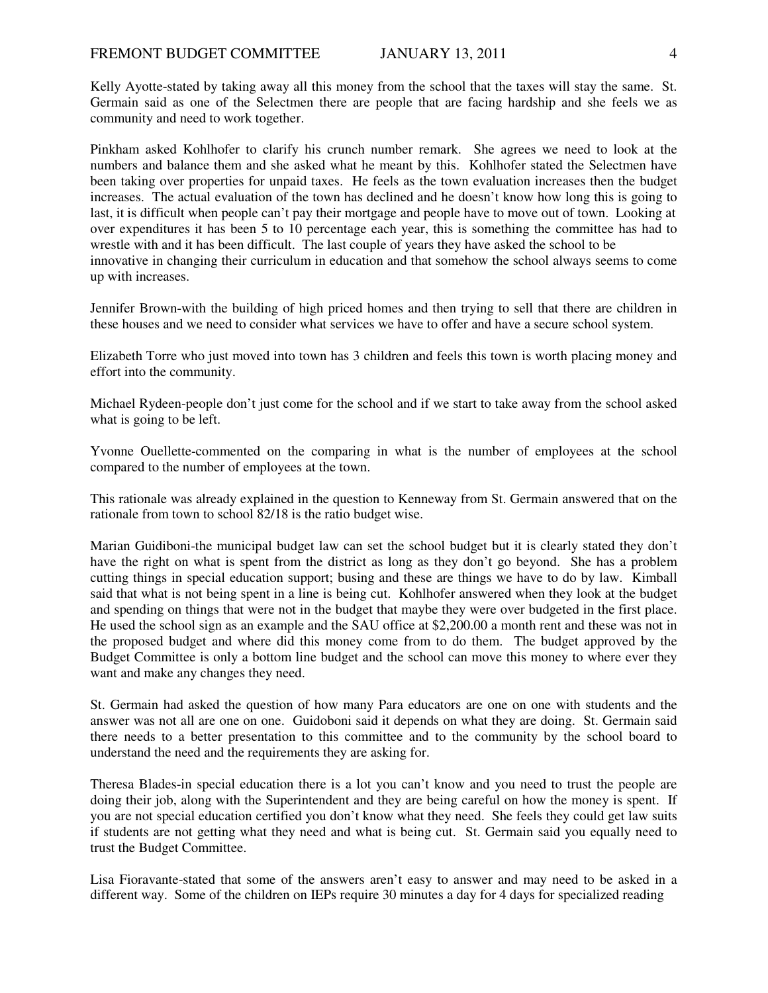Kelly Ayotte-stated by taking away all this money from the school that the taxes will stay the same. St. Germain said as one of the Selectmen there are people that are facing hardship and she feels we as community and need to work together.

Pinkham asked Kohlhofer to clarify his crunch number remark. She agrees we need to look at the numbers and balance them and she asked what he meant by this. Kohlhofer stated the Selectmen have been taking over properties for unpaid taxes. He feels as the town evaluation increases then the budget increases. The actual evaluation of the town has declined and he doesn't know how long this is going to last, it is difficult when people can't pay their mortgage and people have to move out of town. Looking at over expenditures it has been 5 to 10 percentage each year, this is something the committee has had to wrestle with and it has been difficult. The last couple of years they have asked the school to be innovative in changing their curriculum in education and that somehow the school always seems to come up with increases.

Jennifer Brown-with the building of high priced homes and then trying to sell that there are children in these houses and we need to consider what services we have to offer and have a secure school system.

Elizabeth Torre who just moved into town has 3 children and feels this town is worth placing money and effort into the community.

Michael Rydeen-people don't just come for the school and if we start to take away from the school asked what is going to be left.

Yvonne Ouellette-commented on the comparing in what is the number of employees at the school compared to the number of employees at the town.

This rationale was already explained in the question to Kenneway from St. Germain answered that on the rationale from town to school 82/18 is the ratio budget wise.

Marian Guidiboni-the municipal budget law can set the school budget but it is clearly stated they don't have the right on what is spent from the district as long as they don't go beyond. She has a problem cutting things in special education support; busing and these are things we have to do by law. Kimball said that what is not being spent in a line is being cut. Kohlhofer answered when they look at the budget and spending on things that were not in the budget that maybe they were over budgeted in the first place. He used the school sign as an example and the SAU office at \$2,200.00 a month rent and these was not in the proposed budget and where did this money come from to do them. The budget approved by the Budget Committee is only a bottom line budget and the school can move this money to where ever they want and make any changes they need.

St. Germain had asked the question of how many Para educators are one on one with students and the answer was not all are one on one. Guidoboni said it depends on what they are doing. St. Germain said there needs to a better presentation to this committee and to the community by the school board to understand the need and the requirements they are asking for.

Theresa Blades-in special education there is a lot you can't know and you need to trust the people are doing their job, along with the Superintendent and they are being careful on how the money is spent. If you are not special education certified you don't know what they need. She feels they could get law suits if students are not getting what they need and what is being cut. St. Germain said you equally need to trust the Budget Committee.

Lisa Fioravante-stated that some of the answers aren't easy to answer and may need to be asked in a different way. Some of the children on IEPs require 30 minutes a day for 4 days for specialized reading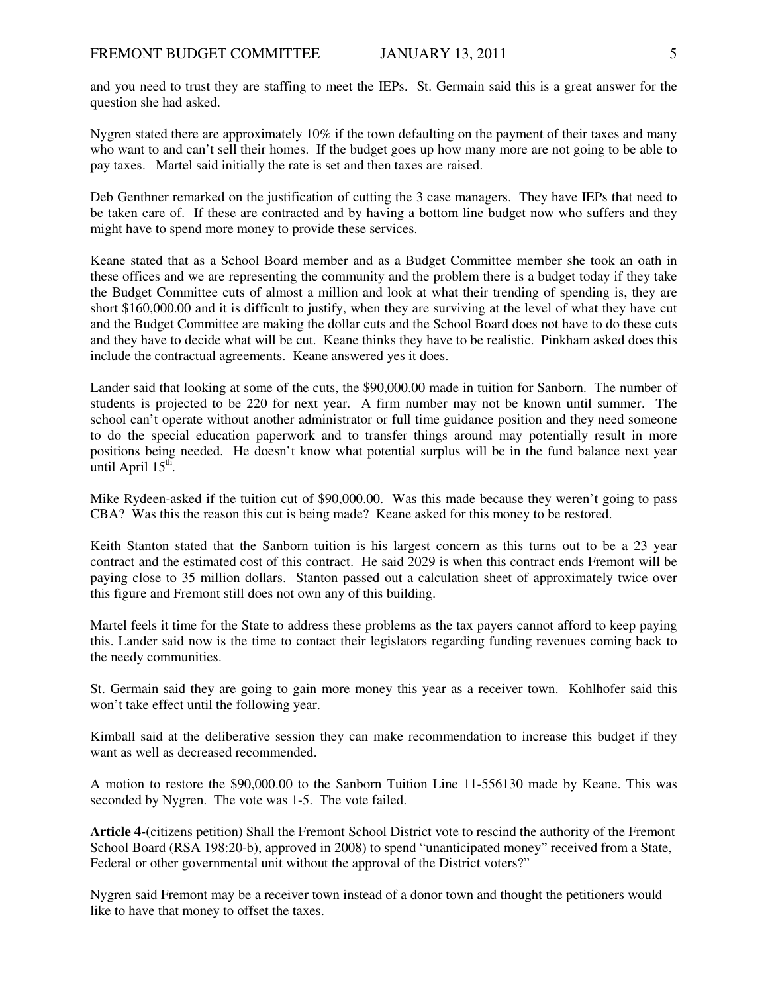and you need to trust they are staffing to meet the IEPs. St. Germain said this is a great answer for the question she had asked.

Nygren stated there are approximately 10% if the town defaulting on the payment of their taxes and many who want to and can't sell their homes. If the budget goes up how many more are not going to be able to pay taxes. Martel said initially the rate is set and then taxes are raised.

Deb Genthner remarked on the justification of cutting the 3 case managers. They have IEPs that need to be taken care of. If these are contracted and by having a bottom line budget now who suffers and they might have to spend more money to provide these services.

Keane stated that as a School Board member and as a Budget Committee member she took an oath in these offices and we are representing the community and the problem there is a budget today if they take the Budget Committee cuts of almost a million and look at what their trending of spending is, they are short \$160,000.00 and it is difficult to justify, when they are surviving at the level of what they have cut and the Budget Committee are making the dollar cuts and the School Board does not have to do these cuts and they have to decide what will be cut. Keane thinks they have to be realistic. Pinkham asked does this include the contractual agreements. Keane answered yes it does.

Lander said that looking at some of the cuts, the \$90,000.00 made in tuition for Sanborn. The number of students is projected to be 220 for next year. A firm number may not be known until summer. The school can't operate without another administrator or full time guidance position and they need someone to do the special education paperwork and to transfer things around may potentially result in more positions being needed. He doesn't know what potential surplus will be in the fund balance next year until April  $15<sup>th</sup>$ .

Mike Rydeen-asked if the tuition cut of \$90,000.00. Was this made because they weren't going to pass CBA? Was this the reason this cut is being made? Keane asked for this money to be restored.

Keith Stanton stated that the Sanborn tuition is his largest concern as this turns out to be a 23 year contract and the estimated cost of this contract. He said 2029 is when this contract ends Fremont will be paying close to 35 million dollars. Stanton passed out a calculation sheet of approximately twice over this figure and Fremont still does not own any of this building.

Martel feels it time for the State to address these problems as the tax payers cannot afford to keep paying this. Lander said now is the time to contact their legislators regarding funding revenues coming back to the needy communities.

St. Germain said they are going to gain more money this year as a receiver town. Kohlhofer said this won't take effect until the following year.

Kimball said at the deliberative session they can make recommendation to increase this budget if they want as well as decreased recommended.

A motion to restore the \$90,000.00 to the Sanborn Tuition Line 11-556130 made by Keane. This was seconded by Nygren. The vote was 1-5. The vote failed.

**Article 4-(**citizens petition) Shall the Fremont School District vote to rescind the authority of the Fremont School Board (RSA 198:20-b), approved in 2008) to spend "unanticipated money" received from a State, Federal or other governmental unit without the approval of the District voters?"

Nygren said Fremont may be a receiver town instead of a donor town and thought the petitioners would like to have that money to offset the taxes.